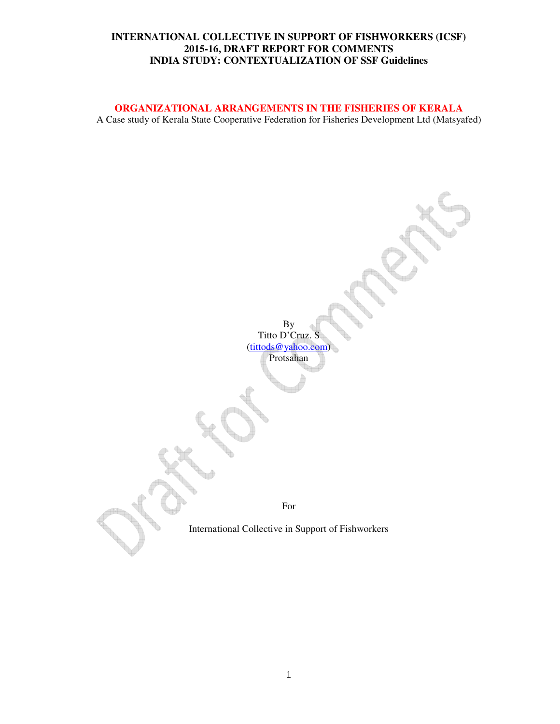#### **ORGANIZATIONAL ARRANGEMENTS IN THE FISHERIES OF KERALA**

A Case study of Kerala State Cooperative Federation for Fisheries Development Ltd (Matsyafed)

By Titto D'Cruz. S (tittods@yahoo.com) Protsahan For International Collective in Support of Fishworkers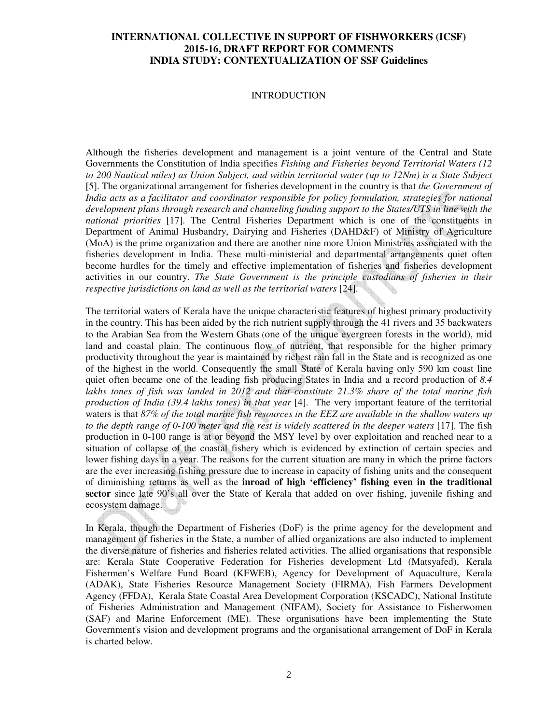#### **INTRODUCTION**

Although the fisheries development and management is a joint venture of the Central and State Governments the Constitution of India specifies *Fishing and Fisheries beyond Territorial Waters (12 to 200 Nautical miles) as Union Subject, and within territorial water (up to 12Nm) is a State Subject*  [5]. The organizational arrangement for fisheries development in the country is that *the Government of India acts as a facilitator and coordinator responsible for policy formulation, strategies for national development plans through research and channeling funding support to the States/UTS in line with the national priorities* [17]. The Central Fisheries Department which is one of the constituents in Department of Animal Husbandry, Dairying and Fisheries (DAHD&F) of Ministry of Agriculture (MoA) is the prime organization and there are another nine more Union Ministries associated with the fisheries development in India. These multi-ministerial and departmental arrangements quiet often become hurdles for the timely and effective implementation of fisheries and fisheries development activities in our country. *The State Government is the principle custodians of fisheries in their respective jurisdictions on land as well as the territorial waters* [24].

The territorial waters of Kerala have the unique characteristic features of highest primary productivity in the country. This has been aided by the rich nutrient supply through the 41 rivers and 35 backwaters to the Arabian Sea from the Western Ghats (one of the unique evergreen forests in the world), mid land and coastal plain. The continuous flow of nutrient, that responsible for the higher primary productivity throughout the year is maintained by richest rain fall in the State and is recognized as one of the highest in the world. Consequently the small State of Kerala having only 590 km coast line quiet often became one of the leading fish producing States in India and a record production of *8.4 lakhs tones of fish was landed in 2012 and that constitute 21.3% share of the total marine fish production of India (39.4 lakhs tones) in that year* [4]. The very important feature of the territorial waters is that *87% of the total marine fish resources in the EEZ are available in the shallow waters up to the depth range of 0-100 meter and the rest is widely scattered in the deeper waters* [17]. The fish production in 0-100 range is at or beyond the MSY level by over exploitation and reached near to a situation of collapse of the coastal fishery which is evidenced by extinction of certain species and lower fishing days in a year. The reasons for the current situation are many in which the prime factors are the ever increasing fishing pressure due to increase in capacity of fishing units and the consequent of diminishing returns as well as the **inroad of high 'efficiency' fishing even in the traditional sector** since late 90's all over the State of Kerala that added on over fishing, juvenile fishing and ecosystem damage.

In Kerala, though the Department of Fisheries (DoF) is the prime agency for the development and management of fisheries in the State, a number of allied organizations are also inducted to implement the diverse nature of fisheries and fisheries related activities. The allied organisations that responsible are: Kerala State Cooperative Federation for Fisheries development Ltd (Matsyafed), Kerala Fishermen's Welfare Fund Board (KFWEB), Agency for Development of Aquaculture, Kerala (ADAK), State Fisheries Resource Management Society (FIRMA), Fish Farmers Development Agency (FFDA), Kerala State Coastal Area Development Corporation (KSCADC), National Institute of Fisheries Administration and Management (NIFAM), Society for Assistance to Fisherwomen (SAF) and Marine Enforcement (ME). These organisations have been implementing the State Government's vision and development programs and the organisational arrangement of DoF in Kerala is charted below.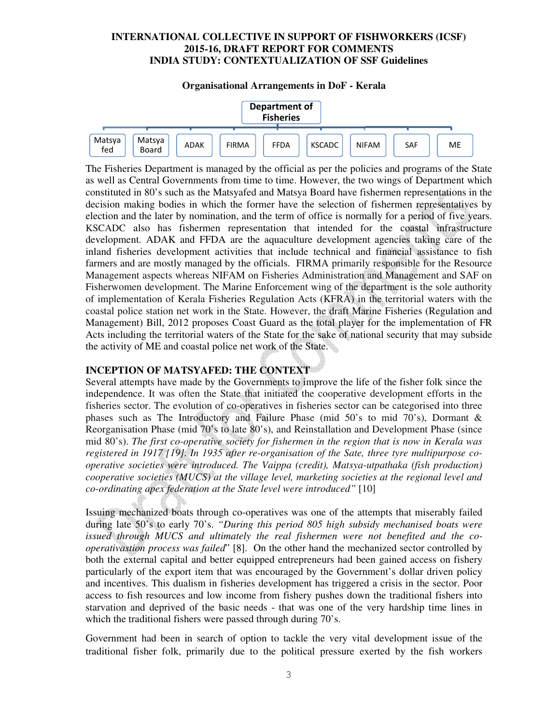#### **Organisational Arrangements in DoF - Kerala**



The Fisheries Department is managed by the official as per the policies and programs of the State as well as Central Governments from time to time. However, the two wings of Department which constituted in 80's such as the Matsyafed and Matsya Board have fishermen representations in the decision making bodies in which the former have the selection of fishermen representatives by election and the later by nomination, and the term of office is normally for a period of five years. KSCADC also has fishermen representation that intended for the coastal infrastructure development. ADAK and FFDA are the aquaculture development agencies taking care of the inland fisheries development activities that include technical and financial assistance to fish farmers and are mostly managed by the officials. FIRMA primarily responsible for the Resource Management aspects whereas NIFAM on Fisheries Administration and Management and SAF on Fisherwomen development. The Marine Enforcement wing of the department is the sole authority of implementation of Kerala Fisheries Regulation Acts (KFRA) in the territorial waters with the coastal police station net work in the State. However, the draft Marine Fisheries (Regulation and Management) Bill, 2012 proposes Coast Guard as the total player for the implementation of FR Acts including the territorial waters of the State for the sake of national security that may subside the activity of ME and coastal police net work of the State.

#### **INCEPTION OF MATSYAFED: THE CONTEXT**

Several attempts have made by the Governments to improve the life of the fisher folk since the independence. It was often the State that initiated the cooperative development efforts in the fisheries sector. The evolution of co-operatives in fisheries sector can be categorised into three phases such as The Introductory and Failure Phase (mid 50's to mid 70's), Dormant & Reorganisation Phase (mid 70's to late 80's), and Reinstallation and Development Phase (since mid 80's). *The first co-operative society for fishermen in the region that is now in Kerala was registered in 1917 [19]. In 1935 after re-organisation of the Sate, three tyre multipurpose cooperative societies were introduced. The Vaippa (credit), Matsya-utpathaka (fish production) cooperative societies (MUCS) at the village level, marketing societies at the regional level and co-ordinating apex federation at the State level were introduced"* [10]

Issuing mechanized boats through co-operatives was one of the attempts that miserably failed during late 50's to early 70's. *"During this period 805 high subsidy mechanised boats were issued through MUCS and ultimately the real fishermen were not benefited and the cooperativastion process was failed*" [8]. On the other hand the mechanized sector controlled by both the external capital and better equipped entrepreneurs had been gained access on fishery particularly of the export item that was encouraged by the Government's dollar driven policy and incentives. This dualism in fisheries development has triggered a crisis in the sector. Poor access to fish resources and low income from fishery pushes down the traditional fishers into starvation and deprived of the basic needs - that was one of the very hardship time lines in which the traditional fishers were passed through during 70's.

Government had been in search of option to tackle the very vital development issue of the traditional fisher folk, primarily due to the political pressure exerted by the fish workers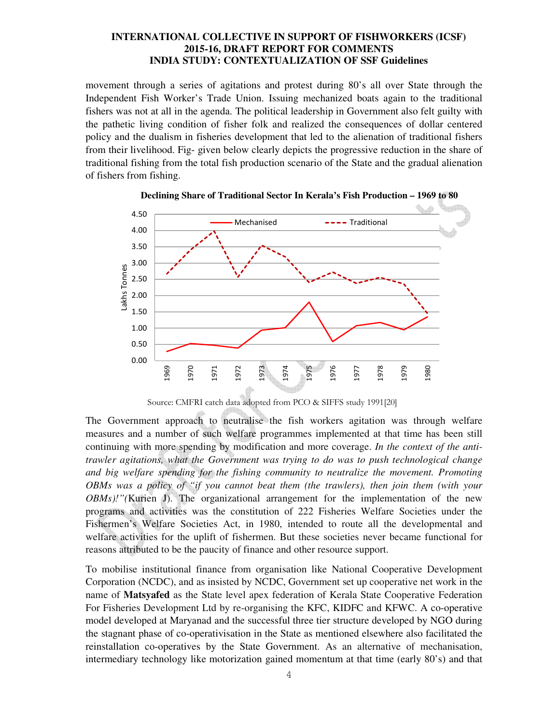movement through a series of agitations and protest during 80's all over State through the Independent Fish Worker's Trade Union. Issuing mechanized boats again to the traditional fishers was not at all in the agenda. The political leadership in Government also felt guilty with the pathetic living condition of fisher folk and realized the consequences of dollar centered policy and the dualism in fisheries development that led to the alienation of traditional fishers from their livelihood. Fig- given below clearly depicts the progressive reduction in the share of traditional fishing from the total fish production scenario of the State and the gradual alienation of fishers from fishing.





The Government approach to neutralise the fish workers agitation was through welfare measures and a number of such welfare programmes implemented at that time has been still continuing with more spending by modification and more coverage. *In the context of the antitrawler agitations, what the Government was trying to do was to push technological change and big welfare spending for the fishing community to neutralize the movement. Promoting OBMs was a policy of "if you cannot beat them (the trawlers), then join them (with your OBMs)!"(*Kurien J). The organizational arrangement for the implementation of the new programs and activities was the constitution of 222 Fisheries Welfare Societies under the Fishermen's Welfare Societies Act, in 1980, intended to route all the developmental and welfare activities for the uplift of fishermen. But these societies never became functional for reasons attributed to be the paucity of finance and other resource support.

To mobilise institutional finance from organisation like National Cooperative Development Corporation (NCDC), and as insisted by NCDC, Government set up cooperative net work in the name of **Matsyafed** as the State level apex federation of Kerala State Cooperative Federation For Fisheries Development Ltd by re-organising the KFC, KIDFC and KFWC. A co-operative model developed at Maryanad and the successful three tier structure developed by NGO during the stagnant phase of co-operativisation in the State as mentioned elsewhere also facilitated the reinstallation co-operatives by the State Government. As an alternative of mechanisation, intermediary technology like motorization gained momentum at that time (early 80's) and that

Source: CMFRI catch data adopted from PCO & SIFFS study 1991[20]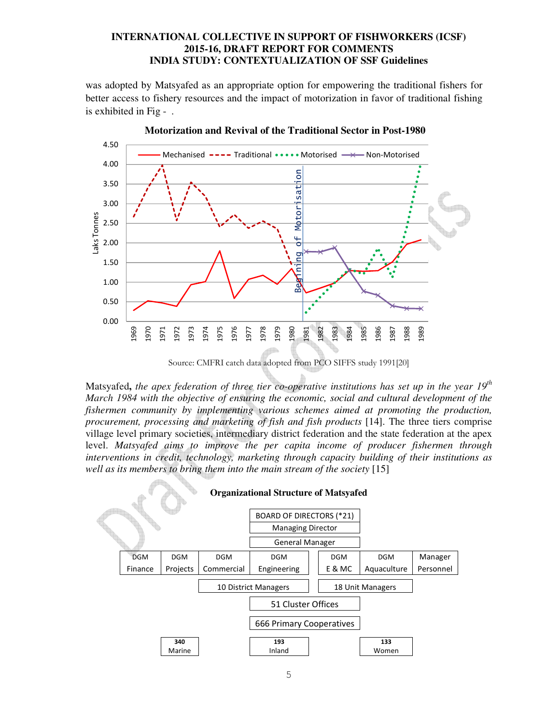was adopted by Matsyafed as an appropriate option for empowering the traditional fishers for better access to fishery resources and the impact of motorization in favor of traditional fishing is exhibited in Fig - .



Source: CMFRI catch data adopted from PCO SIFFS study 1991[20]

Matsyafed**,** *the apex federation of three tier co-operative institutions has set up in the year 19th March 1984 with the objective of ensuring the economic, social and cultural development of the fishermen community by implementing various schemes aimed at promoting the production, procurement, processing and marketing of fish and fish products* [14]. The three tiers comprise village level primary societies, intermediary district federation and the state federation at the apex level. *Matsyafed aims to improve the per capita income of producer fishermen through interventions in credit, technology, marketing through capacity building of their institutions as well as its members to bring them into the main stream of the society* [15]

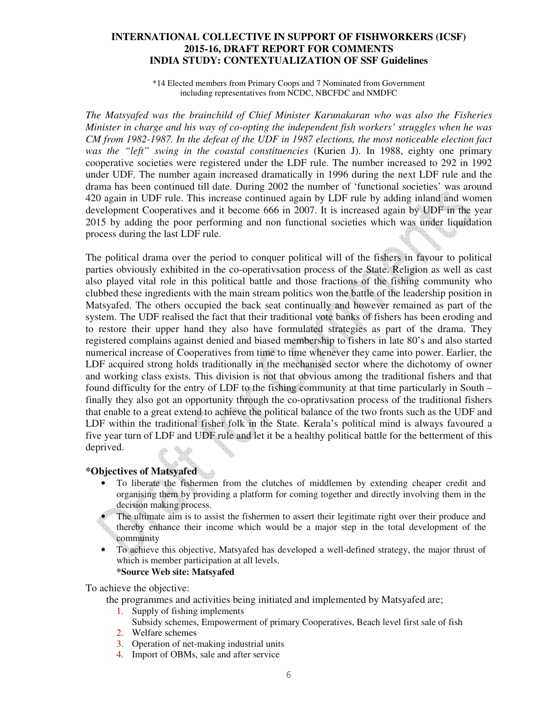\*14 Elected members from Primary Coops and 7 Nominated from Government including representatives from NCDC, NBCFDC and NMDFC

*The Matsyafed was the brainchild of Chief Minister Karunakaran who was also the Fisheries Minister in charge and his way of co-opting the independent fish workers' struggles when he was CM from 1982-1987. In the defeat of the UDF in 1987 elections, the most noticeable election fact was the "left" swing in the coastal constituencies* (Kurien J). In 1988, eighty one primary cooperative societies were registered under the LDF rule. The number increased to 292 in 1992 under UDF. The number again increased dramatically in 1996 during the next LDF rule and the drama has been continued till date. During 2002 the number of 'functional societies' was around 420 again in UDF rule. This increase continued again by LDF rule by adding inland and women development Cooperatives and it become 666 in 2007. It is increased again by UDF in the year 2015 by adding the poor performing and non functional societies which was under liquidation process during the last LDF rule.

The political drama over the period to conquer political will of the fishers in favour to political parties obviously exhibited in the co-operativsation process of the State. Religion as well as cast also played vital role in this political battle and those fractions of the fishing community who clubbed these ingredients with the main stream politics won the battle of the leadership position in Matsyafed. The others occupied the back seat continually and however remained as part of the system. The UDF realised the fact that their traditional vote banks of fishers has been eroding and to restore their upper hand they also have formulated strategies as part of the drama. They registered complains against denied and biased membership to fishers in late 80's and also started numerical increase of Cooperatives from time to time whenever they came into power. Earlier, the LDF acquired strong holds traditionally in the mechanised sector where the dichotomy of owner and working class exists. This division is not that obvious among the traditional fishers and that found difficulty for the entry of LDF to the fishing community at that time particularly in South – finally they also got an opportunity through the co-oprativsation process of the traditional fishers that enable to a great extend to achieve the political balance of the two fronts such as the UDF and LDF within the traditional fisher folk in the State. Kerala's political mind is always favoured a five year turn of LDF and UDF rule and let it be a healthy political battle for the betterment of this deprived.

# **\*Objectives of Matsyafed**

• To liberate the fishermen from the clutches of middlemen by extending cheaper credit and organising them by providing a platform for coming together and directly involving them in the decision making process.

The ultimate aim is to assist the fishermen to assert their legitimate right over their produce and thereby enhance their income which would be a major step in the total development of the community

• To achieve this objective, Matsyafed has developed a well-defined strategy, the major thrust of which is member participation at all levels.

**\*Source Web site: Matsyafed** 

To achieve the objective:

the programmes and activities being initiated and implemented by Matsyafed are;

- 1. Supply of fishing implements
	- Subsidy schemes, Empowerment of primary Cooperatives, Beach level first sale of fish
- 2. Welfare schemes
- 3. Operation of net-making industrial units
- 4. Import of OBMs, sale and after service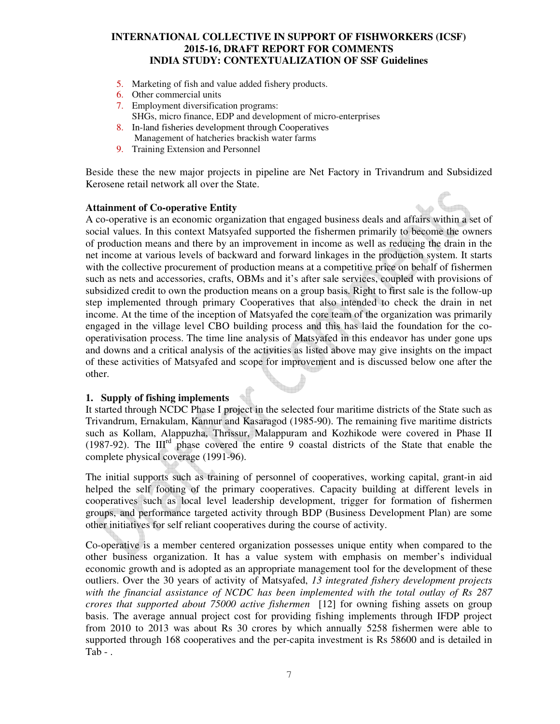- 5. Marketing of fish and value added fishery products.
- 6. Other commercial units
- 7. Employment diversification programs: SHGs, micro finance, EDP and development of micro-enterprises
- 8. In-land fisheries development through Cooperatives Management of hatcheries brackish water farms
- 9. Training Extension and Personnel

Beside these the new major projects in pipeline are Net Factory in Trivandrum and Subsidized Kerosene retail network all over the State.

#### **Attainment of Co-operative Entity**

A co-operative is an economic organization that engaged business deals and affairs within a set of social values. In this context Matsyafed supported the fishermen primarily to become the owners of production means and there by an improvement in income as well as reducing the drain in the net income at various levels of backward and forward linkages in the production system. It starts with the collective procurement of production means at a competitive price on behalf of fishermen such as nets and accessories, crafts, OBMs and it's after sale services, coupled with provisions of subsidized credit to own the production means on a group basis. Right to first sale is the follow-up step implemented through primary Cooperatives that also intended to check the drain in net income. At the time of the inception of Matsyafed the core team of the organization was primarily engaged in the village level CBO building process and this has laid the foundation for the cooperativisation process. The time line analysis of Matsyafed in this endeavor has under gone ups and downs and a critical analysis of the activities as listed above may give insights on the impact of these activities of Matsyafed and scope for improvement and is discussed below one after the other.

#### **1. Supply of fishing implements**

It started through NCDC Phase I project in the selected four maritime districts of the State such as Trivandrum, Ernakulam, Kannur and Kasaragod (1985-90). The remaining five maritime districts such as Kollam, Alappuzha, Thrissur, Malappuram and Kozhikode were covered in Phase II (1987-92). The IIIrd phase covered the entire 9 coastal districts of the State that enable the complete physical coverage (1991-96).

The initial supports such as training of personnel of cooperatives, working capital, grant-in aid helped the self footing of the primary cooperatives. Capacity building at different levels in cooperatives such as local level leadership development, trigger for formation of fishermen groups, and performance targeted activity through BDP (Business Development Plan) are some other initiatives for self reliant cooperatives during the course of activity.

Co-operative is a member centered organization possesses unique entity when compared to the other business organization. It has a value system with emphasis on member's individual economic growth and is adopted as an appropriate management tool for the development of these outliers. Over the 30 years of activity of Matsyafed, *13 integrated fishery development projects with the financial assistance of NCDC has been implemented with the total outlay of Rs 287 crores that supported about 75000 active fishermen* [12] for owning fishing assets on group basis. The average annual project cost for providing fishing implements through IFDP project from 2010 to 2013 was about Rs 30 crores by which annually 5258 fishermen were able to supported through 168 cooperatives and the per-capita investment is Rs 58600 and is detailed in Tab - .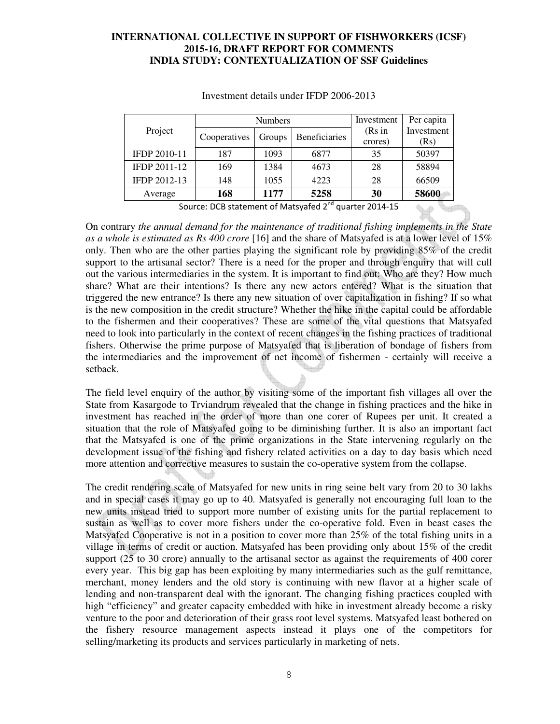|              |              | <b>Numbers</b>          | Investment | Per capita |            |
|--------------|--------------|-------------------------|------------|------------|------------|
| Project      | Cooperatives | Beneficiaries<br>Groups |            | (Rs in     | Investment |
|              |              |                         |            |            |            |
| IFDP 2010-11 | 187          | 1093                    | 6877       | 35         | 50397      |
| IFDP 2011-12 | 169          | 1384                    | 4673       | 28         | 58894      |
| IFDP 2012-13 | 148          | 1055                    | 4223       | 28         | 66509      |
| Average      | 168          | 1177                    | 5258       | 30         | 58600      |

#### Investment details under IFDP 2006-2013

Source: DCB statement of Matsyafed  $2<sup>nd</sup>$  quarter 2014-15

On contrary *the annual demand for the maintenance of traditional fishing implements in the State as a whole is estimated as Rs 400 crore* [16] and the share of Matsyafed is at a lower level of 15% only. Then who are the other parties playing the significant role by providing 85% of the credit support to the artisanal sector? There is a need for the proper and through enquiry that will cull out the various intermediaries in the system. It is important to find out: Who are they? How much share? What are their intentions? Is there any new actors entered? What is the situation that triggered the new entrance? Is there any new situation of over capitalization in fishing? If so what is the new composition in the credit structure? Whether the hike in the capital could be affordable to the fishermen and their cooperatives? These are some of the vital questions that Matsyafed need to look into particularly in the context of recent changes in the fishing practices of traditional fishers. Otherwise the prime purpose of Matsyafed that is liberation of bondage of fishers from the intermediaries and the improvement of net income of fishermen - certainly will receive a setback.

The field level enquiry of the author by visiting some of the important fish villages all over the State from Kasargode to Trviandrum revealed that the change in fishing practices and the hike in investment has reached in the order of more than one corer of Rupees per unit. It created a situation that the role of Matsyafed going to be diminishing further. It is also an important fact that the Matsyafed is one of the prime organizations in the State intervening regularly on the development issue of the fishing and fishery related activities on a day to day basis which need more attention and corrective measures to sustain the co-operative system from the collapse.

The credit rendering scale of Matsyafed for new units in ring seine belt vary from 20 to 30 lakhs and in special cases it may go up to 40. Matsyafed is generally not encouraging full loan to the new units instead tried to support more number of existing units for the partial replacement to sustain as well as to cover more fishers under the co-operative fold. Even in beast cases the Matsyafed Cooperative is not in a position to cover more than 25% of the total fishing units in a village in terms of credit or auction. Matsyafed has been providing only about 15% of the credit support (25 to 30 crore) annually to the artisanal sector as against the requirements of 400 corer every year. This big gap has been exploiting by many intermediaries such as the gulf remittance, merchant, money lenders and the old story is continuing with new flavor at a higher scale of lending and non-transparent deal with the ignorant. The changing fishing practices coupled with high "efficiency" and greater capacity embedded with hike in investment already become a risky venture to the poor and deterioration of their grass root level systems. Matsyafed least bothered on the fishery resource management aspects instead it plays one of the competitors for selling/marketing its products and services particularly in marketing of nets.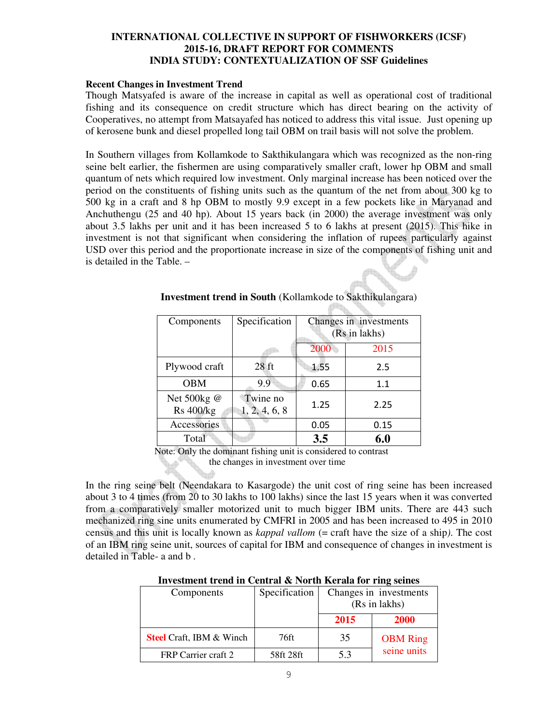#### **Recent Changes in Investment Trend**

Though Matsyafed is aware of the increase in capital as well as operational cost of traditional fishing and its consequence on credit structure which has direct bearing on the activity of Cooperatives, no attempt from Matsayafed has noticed to address this vital issue. Just opening up of kerosene bunk and diesel propelled long tail OBM on trail basis will not solve the problem.

In Southern villages from Kollamkode to Sakthikulangara which was recognized as the non-ring seine belt earlier, the fishermen are using comparatively smaller craft, lower hp OBM and small quantum of nets which required low investment. Only marginal increase has been noticed over the period on the constituents of fishing units such as the quantum of the net from about 300 kg to 500 kg in a craft and 8 hp OBM to mostly 9.9 except in a few pockets like in Maryanad and Anchuthengu (25 and 40 hp). About 15 years back (in 2000) the average investment was only about 3.5 lakhs per unit and it has been increased 5 to 6 lakhs at present (2015). This hike in investment is not that significant when considering the inflation of rupees particularly against USD over this period and the proportionate increase in size of the components of fishing unit and is detailed in the Table. –

| Components                      | Specification             | Changes in investments<br>(Rs in lakhs) |      |  |
|---------------------------------|---------------------------|-----------------------------------------|------|--|
|                                 |                           | 2000                                    | 2015 |  |
| Plywood craft                   | $28$ ft                   | 1.55                                    | 2.5  |  |
| <b>OBM</b>                      | 9.9                       | 0.65                                    | 1.1  |  |
| Net 500kg @<br><b>Rs</b> 400/kg | Twine no<br>1, 2, 4, 6, 8 | 1.25                                    | 2.25 |  |
| Accessories                     |                           | 0.05                                    | 0.15 |  |
| Total                           |                           | 3.5                                     | 6.0  |  |

## **Investment trend in South** (Kollamkode to Sakthikulangara)

**PRACTICAL CONTRACT** 

 Note: Only the dominant fishing unit is considered to contrast the changes in investment over time

In the ring seine belt (Neendakara to Kasargode) the unit cost of ring seine has been increased about 3 to 4 times (from 20 to 30 lakhs to 100 lakhs) since the last 15 years when it was converted from a comparatively smaller motorized unit to much bigger IBM units. There are 443 such mechanized ring sine units enumerated by CMFRI in 2005 and has been increased to 495 in 2010 census and this unit is locally known as *kappal vallom* (= craft have the size of a ship*)*. The cost of an IBM ring seine unit, sources of capital for IBM and consequence of changes in investment is detailed in Table- a and b .

| Investment trend in Central & Forth Ixeraid for Ting semes |               |                        |                 |  |  |  |  |
|------------------------------------------------------------|---------------|------------------------|-----------------|--|--|--|--|
| Components                                                 | Specification | Changes in investments |                 |  |  |  |  |
|                                                            |               |                        | (Rs in lakhs)   |  |  |  |  |
|                                                            |               | 2015                   | 2000            |  |  |  |  |
| <b>Steel</b> Craft, IBM & Winch                            | 76ft          | 35                     | <b>OBM</b> Ring |  |  |  |  |
| FRP Carrier craft 2                                        | 58ft 28ft     | 5.3                    | seine units     |  |  |  |  |

#### **Investment trend in Central & North Kerala for ring seines**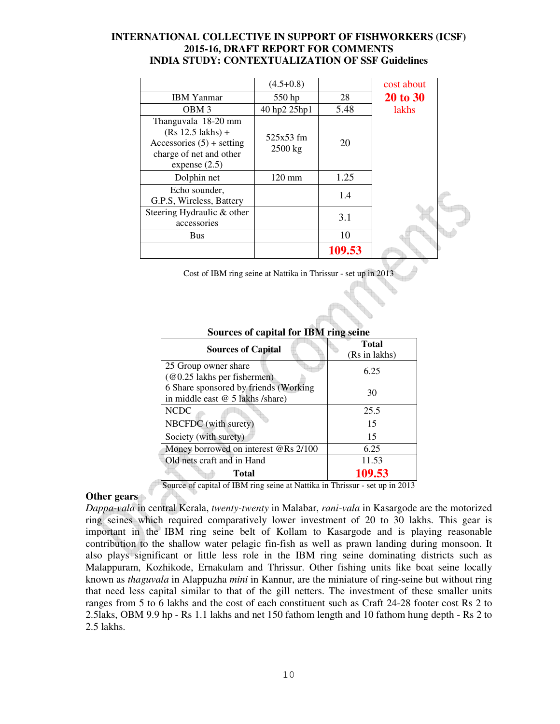|                                                                                                                         | $(4.5+0.8)$            |        | cost about      |
|-------------------------------------------------------------------------------------------------------------------------|------------------------|--------|-----------------|
| <b>IBM</b> Yanmar                                                                                                       | 550 hp                 | 28     | <b>20 to 30</b> |
| OBM <sub>3</sub>                                                                                                        | 40 hp2 25hp1           | 5.48   | lakhs           |
| Thanguvala 18-20 mm<br>$(Rs 12.5$ lakhs) +<br>Accessories $(5)$ + setting<br>charge of net and other<br>expense $(2.5)$ | 525x53 fm<br>$2500$ kg | 20     |                 |
| Dolphin net                                                                                                             | $120 \text{ mm}$       | 1.25   |                 |
| Echo sounder.<br>G.P.S, Wireless, Battery                                                                               |                        | 1.4    |                 |
| Steering Hydraulic & other<br>accessories                                                                               |                        | 3.1    |                 |
| Bus                                                                                                                     |                        | 10     |                 |
|                                                                                                                         |                        | 109.53 |                 |

Cost of IBM ring seine at Nattika in Thrissur - set up in 2013

|                                                    | <b>Total</b>  |
|----------------------------------------------------|---------------|
| <b>Sources of Capital</b>                          | (Rs in lakhs) |
| 25 Group owner share                               | 6.25          |
| $(\text{\textcircled{a}}0.25$ lakhs per fishermen) |               |
| 6 Share sponsored by friends (Working              | 30            |
| in middle east @ 5 lakhs /share)                   |               |
| <b>NCDC</b>                                        | 25.5          |
| NBCFDC (with surety)                               | 15            |
| Society (with surety)                              | 15            |
| Money borrowed on interest @Rs 2/100               | 6.25          |
| Old nets craft and in Hand                         | 11.53         |
| <b>Total</b>                                       | 109.53        |

## **Sources of capital for IBM ring seine**

Source of capital of IBM ring seine at Nattika in Thrissur - set up in 2013

#### **Other gears**

*Dappa-vala* in central Kerala, *twenty-twenty* in Malabar, *rani-vala* in Kasargode are the motorized ring seines which required comparatively lower investment of 20 to 30 lakhs. This gear is important in the IBM ring seine belt of Kollam to Kasargode and is playing reasonable contribution to the shallow water pelagic fin-fish as well as prawn landing during monsoon. It also plays significant or little less role in the IBM ring seine dominating districts such as Malappuram, Kozhikode, Ernakulam and Thrissur. Other fishing units like boat seine locally known as *thaguvala* in Alappuzha *mini* in Kannur, are the miniature of ring-seine but without ring that need less capital similar to that of the gill netters. The investment of these smaller units ranges from 5 to 6 lakhs and the cost of each constituent such as Craft 24-28 footer cost Rs 2 to 2.5laks, OBM 9.9 hp - Rs 1.1 lakhs and net 150 fathom length and 10 fathom hung depth - Rs 2 to 2.5 lakhs.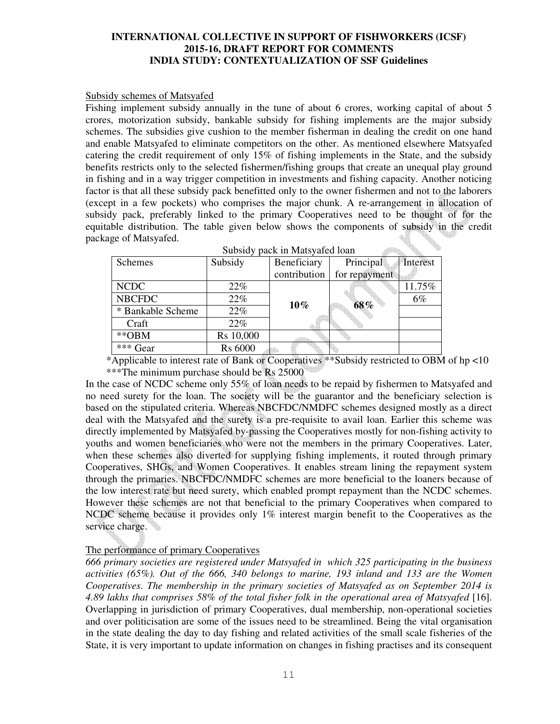#### Subsidy schemes of Matsyafed

Fishing implement subsidy annually in the tune of about 6 crores, working capital of about 5 crores, motorization subsidy, bankable subsidy for fishing implements are the major subsidy schemes. The subsidies give cushion to the member fisherman in dealing the credit on one hand and enable Matsyafed to eliminate competitors on the other. As mentioned elsewhere Matsyafed catering the credit requirement of only 15% of fishing implements in the State, and the subsidy benefits restricts only to the selected fishermen/fishing groups that create an unequal play ground in fishing and in a way trigger competition in investments and fishing capacity. Another noticing factor is that all these subsidy pack benefitted only to the owner fishermen and not to the laborers (except in a few pockets) who comprises the major chunk. A re-arrangement in allocation of subsidy pack, preferably linked to the primary Cooperatives need to be thought of for the equitable distribution. The table given below shows the components of subsidy in the credit package of Matsyafed. Subsidy pack in Materia del

| Subsidy pack in Matsyafed Ioan |                |              |               |          |  |  |
|--------------------------------|----------------|--------------|---------------|----------|--|--|
| Schemes                        | Subsidy        | Beneficiary  | Principal     | Interest |  |  |
|                                |                | contribution | for repayment |          |  |  |
| <b>NCDC</b>                    | 22%            |              |               | 11.75%   |  |  |
| <b>NBCFDC</b>                  | 22%            | $10\%$       | 68%           | $6\%$    |  |  |
| * Bankable Scheme              | 22%            |              |               |          |  |  |
| Craft                          | 22%            |              |               |          |  |  |
| $*$ OBM                        | Rs 10,000      |              |               |          |  |  |
| *** Gear                       | <b>Rs 6000</b> |              |               |          |  |  |

 \*Applicable to interest rate of Bank or Cooperatives \*\*Subsidy restricted to OBM of hp <10 \*\*\*The minimum purchase should be Rs 25000

In the case of NCDC scheme only 55% of loan needs to be repaid by fishermen to Matsyafed and no need surety for the loan. The society will be the guarantor and the beneficiary selection is based on the stipulated criteria. Whereas NBCFDC/NMDFC schemes designed mostly as a direct deal with the Matsyafed and the surety is a pre-requisite to avail loan. Earlier this scheme was directly implemented by Matsyafed by-passing the Cooperatives mostly for non-fishing activity to youths and women beneficiaries who were not the members in the primary Cooperatives. Later, when these schemes also diverted for supplying fishing implements, it routed through primary Cooperatives, SHGs, and Women Cooperatives. It enables stream lining the repayment system through the primaries. NBCFDC/NMDFC schemes are more beneficial to the loaners because of the low interest rate but need surety, which enabled prompt repayment than the NCDC schemes. However these schemes are not that beneficial to the primary Cooperatives when compared to NCDC scheme because it provides only 1% interest margin benefit to the Cooperatives as the service charge.

## The performance of primary Cooperatives

*666 primary societies are registered under Matsyafed in which 325 participating in the business activities (65%). Out of the 666, 340 belongs to marine, 193 inland and 133 are the Women Cooperatives*. *The membership in the primary societies of Matsyafed as on September 2014 is 4.89 lakhs that comprises 58% of the total fisher folk in the operational area of Matsyafed* [16]. Overlapping in jurisdiction of primary Cooperatives, dual membership, non-operational societies and over politicisation are some of the issues need to be streamlined. Being the vital organisation in the state dealing the day to day fishing and related activities of the small scale fisheries of the State, it is very important to update information on changes in fishing practises and its consequent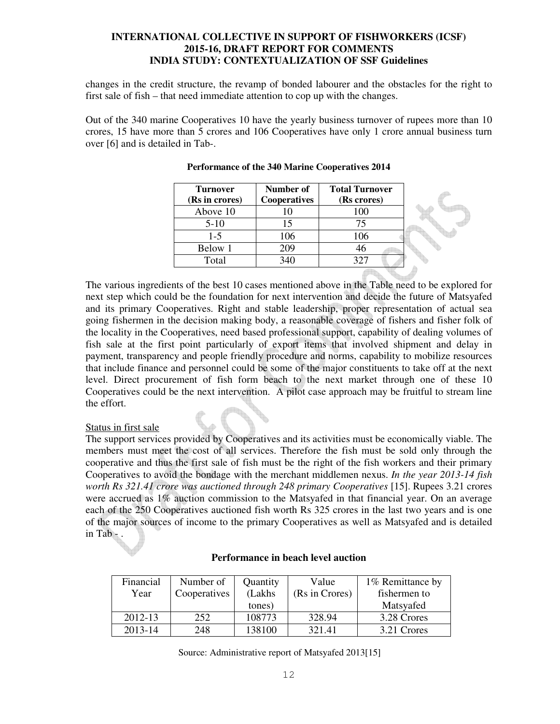changes in the credit structure, the revamp of bonded labourer and the obstacles for the right to first sale of fish – that need immediate attention to cop up with the changes.

Out of the 340 marine Cooperatives 10 have the yearly business turnover of rupees more than 10 crores, 15 have more than 5 crores and 106 Cooperatives have only 1 crore annual business turn over [6] and is detailed in Tab-.

| <b>Turnover</b><br>(Rs in crores) | Number of<br><b>Cooperatives</b> | <b>Total Turnover</b><br>(Rs crores) |  |
|-----------------------------------|----------------------------------|--------------------------------------|--|
| Above 10                          |                                  | 100                                  |  |
| $5-10$                            |                                  |                                      |  |
| $1 - 5$                           | 106                              | 106                                  |  |
| Below 1                           | 209                              |                                      |  |
| Total                             | 340                              |                                      |  |

#### **Performance of the 340 Marine Cooperatives 2014**

The various ingredients of the best 10 cases mentioned above in the Table need to be explored for next step which could be the foundation for next intervention and decide the future of Matsyafed and its primary Cooperatives. Right and stable leadership, proper representation of actual sea going fishermen in the decision making body, a reasonable coverage of fishers and fisher folk of the locality in the Cooperatives, need based professional support, capability of dealing volumes of fish sale at the first point particularly of export items that involved shipment and delay in payment, transparency and people friendly procedure and norms, capability to mobilize resources that include finance and personnel could be some of the major constituents to take off at the next level. Direct procurement of fish form beach to the next market through one of these 10 Cooperatives could be the next intervention. A pilot case approach may be fruitful to stream line the effort.

## Status in first sale

The support services provided by Cooperatives and its activities must be economically viable. The members must meet the cost of all services. Therefore the fish must be sold only through the cooperative and thus the first sale of fish must be the right of the fish workers and their primary Cooperatives to avoid the bondage with the merchant middlemen nexus. *In the year 2013-14 fish worth Rs 321.41 crore was auctioned through 248 primary Cooperatives* [15]. Rupees 3.21 crores were accrued as 1% auction commission to the Matsyafed in that financial year. On an average each of the 250 Cooperatives auctioned fish worth Rs 325 crores in the last two years and is one of the major sources of income to the primary Cooperatives as well as Matsyafed and is detailed in Tab - .

| Financial | Number of    | Quantity | Value          | 1% Remittance by |
|-----------|--------------|----------|----------------|------------------|
| Year      | Cooperatives | (Lakhs   | (Rs in Crores) | fishermen to     |
|           |              | tones)   |                | Matsyafed        |
| 2012-13   | 252          | 108773   | 328.94         | 3.28 Crores      |
| 2013-14   | 248          | 138100   | 321.41         | 3.21 Crores      |

#### **Performance in beach level auction**

Source: Administrative report of Matsyafed 2013[15]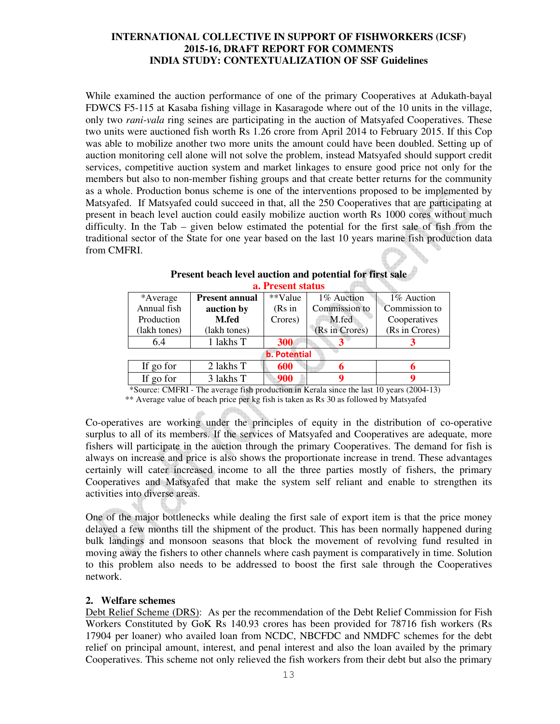While examined the auction performance of one of the primary Cooperatives at Adukath-bayal FDWCS F5-115 at Kasaba fishing village in Kasaragode where out of the 10 units in the village, only two *rani-vala* ring seines are participating in the auction of Matsyafed Cooperatives. These two units were auctioned fish worth Rs 1.26 crore from April 2014 to February 2015. If this Cop was able to mobilize another two more units the amount could have been doubled. Setting up of auction monitoring cell alone will not solve the problem, instead Matsyafed should support credit services, competitive auction system and market linkages to ensure good price not only for the members but also to non-member fishing groups and that create better returns for the community as a whole. Production bonus scheme is one of the interventions proposed to be implemented by Matsyafed. If Matsyafed could succeed in that, all the 250 Cooperatives that are participating at present in beach level auction could easily mobilize auction worth Rs 1000 cores without much difficulty. In the Tab – given below estimated the potential for the first sale of fish from the traditional sector of the State for one year based on the last 10 years marine fish production data from CMFRI.

| a. I Testin status |                                                                                                 |                     |                |                |  |  |  |
|--------------------|-------------------------------------------------------------------------------------------------|---------------------|----------------|----------------|--|--|--|
| *Average           | <b>Present annual</b>                                                                           | **Value             | 1% Auction     | 1% Auction     |  |  |  |
| Annual fish        | auction by                                                                                      | (Rs in              | Commission to  | Commission to  |  |  |  |
| Production         | M.fed                                                                                           | Crores)             | M.fed          | Cooperatives   |  |  |  |
| (lakh tones)       | (lakh tones)                                                                                    |                     | (Rs in Crores) | (Rs in Crores) |  |  |  |
| 6.4                | 1 lakhs T                                                                                       | 300                 |                |                |  |  |  |
|                    |                                                                                                 | <b>b.</b> Potential |                |                |  |  |  |
| If go for          | 2 lakhs T                                                                                       | 600                 |                | h              |  |  |  |
| If go for          | 3 lakhs T                                                                                       | 900                 |                |                |  |  |  |
|                    | $\star$ Source: CMERI - The average fish production in Kerala since the last 10 years (2004-13) |                     |                |                |  |  |  |

#### **Present beach level auction and potential for first sale a. Present status ATTE**

Source: CMFRI - The average fish production in Kerala since the last 10 years (2004-13)

\*\* Average value of beach price per kg fish is taken as Rs 30 as followed by Matsyafed

Co-operatives are working under the principles of equity in the distribution of co-operative surplus to all of its members. If the services of Matsyafed and Cooperatives are adequate, more fishers will participate in the auction through the primary Cooperatives. The demand for fish is always on increase and price is also shows the proportionate increase in trend. These advantages certainly will cater increased income to all the three parties mostly of fishers, the primary Cooperatives and Matsyafed that make the system self reliant and enable to strengthen its activities into diverse areas.

One of the major bottlenecks while dealing the first sale of export item is that the price money delayed a few months till the shipment of the product. This has been normally happened during bulk landings and monsoon seasons that block the movement of revolving fund resulted in moving away the fishers to other channels where cash payment is comparatively in time. Solution to this problem also needs to be addressed to boost the first sale through the Cooperatives network.

#### **2. Welfare schemes**

Debt Relief Scheme (DRS): As per the recommendation of the Debt Relief Commission for Fish Workers Constituted by GoK Rs 140.93 crores has been provided for 78716 fish workers (Rs 17904 per loaner) who availed loan from NCDC, NBCFDC and NMDFC schemes for the debt relief on principal amount, interest, and penal interest and also the loan availed by the primary Cooperatives. This scheme not only relieved the fish workers from their debt but also the primary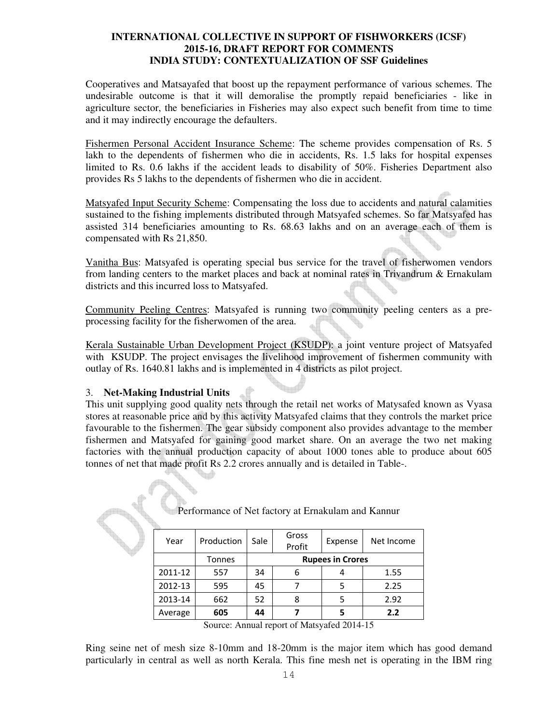Cooperatives and Matsayafed that boost up the repayment performance of various schemes. The undesirable outcome is that it will demoralise the promptly repaid beneficiaries - like in agriculture sector, the beneficiaries in Fisheries may also expect such benefit from time to time and it may indirectly encourage the defaulters.

Fishermen Personal Accident Insurance Scheme: The scheme provides compensation of Rs. 5 lakh to the dependents of fishermen who die in accidents, Rs. 1.5 laks for hospital expenses limited to Rs. 0.6 lakhs if the accident leads to disability of 50%. Fisheries Department also provides Rs 5 lakhs to the dependents of fishermen who die in accident.

Matsyafed Input Security Scheme: Compensating the loss due to accidents and natural calamities sustained to the fishing implements distributed through Matsyafed schemes. So far Matsyafed has assisted 314 beneficiaries amounting to Rs. 68.63 lakhs and on an average each of them is compensated with Rs 21,850.

Vanitha Bus: Matsyafed is operating special bus service for the travel of fisherwomen vendors from landing centers to the market places and back at nominal rates in Trivandrum & Ernakulam districts and this incurred loss to Matsyafed.

Community Peeling Centres: Matsyafed is running two community peeling centers as a preprocessing facility for the fisherwomen of the area.

Kerala Sustainable Urban Development Project (KSUDP): a joint venture project of Matsyafed with KSUDP. The project envisages the livelihood improvement of fishermen community with outlay of Rs. 1640.81 lakhs and is implemented in 4 districts as pilot project.

## 3. **Net-Making Industrial Units**

This unit supplying good quality nets through the retail net works of Matysafed known as Vyasa stores at reasonable price and by this activity Matsyafed claims that they controls the market price favourable to the fishermen. The gear subsidy component also provides advantage to the member fishermen and Matsyafed for gaining good market share. On an average the two net making factories with the annual production capacity of about 1000 tones able to produce about 605 tonnes of net that made profit Rs 2.2 crores annually and is detailed in Table-.

| Year    | Production | Sale                    | Gross<br>Profit | Expense | Net Income |
|---------|------------|-------------------------|-----------------|---------|------------|
|         | Tonnes     | <b>Rupees in Crores</b> |                 |         |            |
| 2011-12 | 557        | 34                      | 6               |         | 1.55       |
| 2012-13 | 595        | 45                      |                 |         | 2.25       |
| 2013-14 | 662        | 52                      | 8               | 5       | 2.92       |
| Average | 605        | 44                      |                 | 5       | 2.2        |

Performance of Net factory at Ernakulam and Kannur

Ring seine net of mesh size 8-10mm and 18-20mm is the major item which has good demand particularly in central as well as north Kerala. This fine mesh net is operating in the IBM ring

Source: Annual report of Matsyafed 2014-15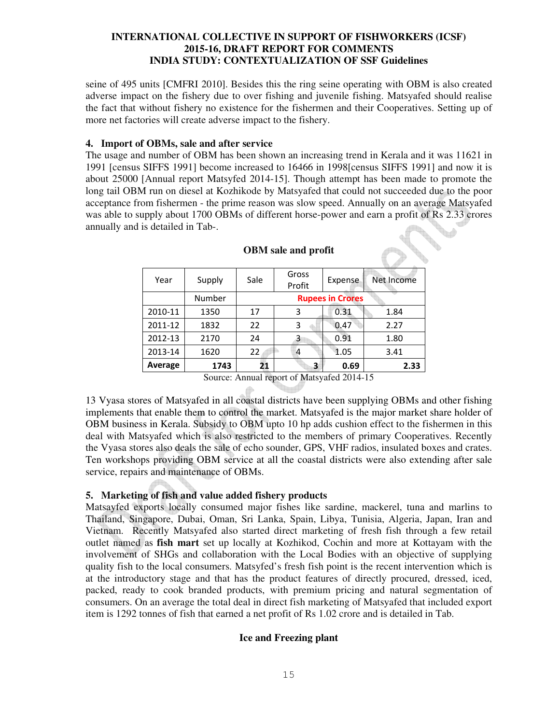seine of 495 units [CMFRI 2010]. Besides this the ring seine operating with OBM is also created adverse impact on the fishery due to over fishing and juvenile fishing. Matsyafed should realise the fact that without fishery no existence for the fishermen and their Cooperatives. Setting up of more net factories will create adverse impact to the fishery.

#### **4. Import of OBMs, sale and after service**

The usage and number of OBM has been shown an increasing trend in Kerala and it was 11621 in 1991 [census SIFFS 1991] become increased to 16466 in 1998[census SIFFS 1991] and now it is about 25000 [Annual report Matsyfed 2014-15]. Though attempt has been made to promote the long tail OBM run on diesel at Kozhikode by Matsyafed that could not succeeded due to the poor acceptance from fishermen - the prime reason was slow speed. Annually on an average Matsyafed was able to supply about 1700 OBMs of different horse-power and earn a profit of Rs 2.33 crores annually and is detailed in Tab-.

| Year    | Supply | Sale                                 | Gross<br>Profit                                                    | Expense                 | Net Income |
|---------|--------|--------------------------------------|--------------------------------------------------------------------|-------------------------|------------|
|         | Number |                                      |                                                                    | <b>Rupees in Crores</b> |            |
| 2010-11 | 1350   | 17                                   | 3                                                                  | 0.31                    | 1.84       |
| 2011-12 | 1832   | 22                                   | 3                                                                  | 0.47                    | 2.27       |
| 2012-13 | 2170   | 24                                   | 3                                                                  | 0.91                    | 1.80       |
| 2013-14 | 1620   | 22                                   | $\overline{4}$                                                     | 1.05                    | 3.41       |
| Average | 1743   | 21                                   | 3                                                                  | 0.69                    | 2.33       |
|         | $\sim$ | $\mathbf{1}$<br>$\ddot{\phantom{1}}$ | $\mathbf{r}$ $\mathbf{r}$ $\mathbf{r}$<br><b>Contract Contract</b> | 0.1001117               |            |

#### **OBM sale and profit**

Source: Annual report of Matsyafed 2014-15

13 Vyasa stores of Matsyafed in all coastal districts have been supplying OBMs and other fishing implements that enable them to control the market. Matsyafed is the major market share holder of OBM business in Kerala. Subsidy to OBM upto 10 hp adds cushion effect to the fishermen in this deal with Matsyafed which is also restricted to the members of primary Cooperatives. Recently the Vyasa stores also deals the sale of echo sounder, GPS, VHF radios, insulated boxes and crates. Ten workshops providing OBM service at all the coastal districts were also extending after sale service, repairs and maintenance of OBMs.

## **5. Marketing of fish and value added fishery products**

Matsayfed exports locally consumed major fishes like sardine, mackerel, tuna and marlins to Thailand, Singapore, Dubai, Oman, Sri Lanka, Spain, Libya, Tunisia, Algeria, Japan, Iran and Vietnam. Recently Matsyafed also started direct marketing of fresh fish through a few retail outlet named as **fish mart** set up locally at Kozhikod, Cochin and more at Kottayam with the involvement of SHGs and collaboration with the Local Bodies with an objective of supplying quality fish to the local consumers. Matsyfed's fresh fish point is the recent intervention which is at the introductory stage and that has the product features of directly procured, dressed, iced, packed, ready to cook branded products, with premium pricing and natural segmentation of consumers. On an average the total deal in direct fish marketing of Matsyafed that included export item is 1292 tonnes of fish that earned a net profit of Rs 1.02 crore and is detailed in Tab.

## **Ice and Freezing plant**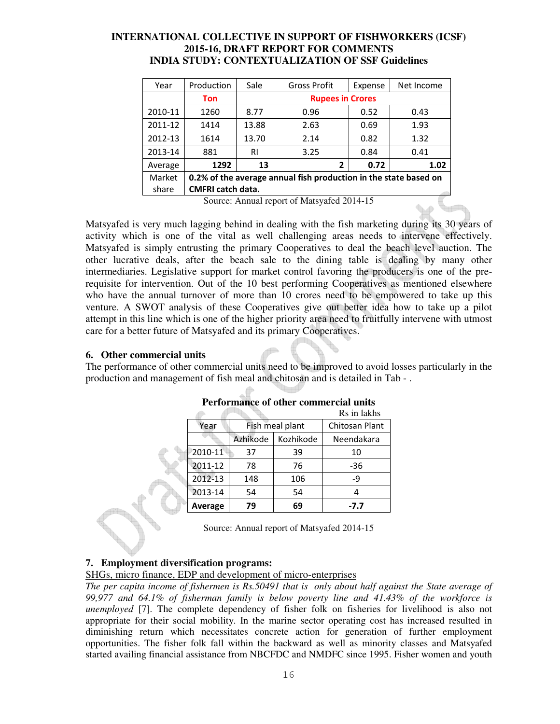| Year                                                                       | Production | Sale                    | <b>Gross Profit</b> | Expense | Net Income |  |
|----------------------------------------------------------------------------|------------|-------------------------|---------------------|---------|------------|--|
|                                                                            | Ton        | <b>Rupees in Crores</b> |                     |         |            |  |
| 2010-11                                                                    | 1260       | 8.77                    | 0.96                | 0.52    | 0.43       |  |
| 2011-12                                                                    | 1414       | 13.88                   | 2.63                | 0.69    | 1.93       |  |
| 2012-13                                                                    | 1614       | 13.70                   | 2.14                | 0.82    | 1.32       |  |
| 2013-14                                                                    | 881        | <b>RI</b>               | 3.25                | 0.84    | 0.41       |  |
| Average                                                                    | 1292       | 13                      | 2                   | 0.72    | 1.02       |  |
| Market<br>0.2% of the average annual fish production in the state based on |            |                         |                     |         |            |  |
| <b>CMFRI catch data.</b><br>share                                          |            |                         |                     |         |            |  |

Source: Annual report of Matsyafed 2014-15

Matsyafed is very much lagging behind in dealing with the fish marketing during its 30 years of activity which is one of the vital as well challenging areas needs to intervene effectively. Matsyafed is simply entrusting the primary Cooperatives to deal the beach level auction. The other lucrative deals, after the beach sale to the dining table is dealing by many other intermediaries. Legislative support for market control favoring the producers is one of the prerequisite for intervention. Out of the 10 best performing Cooperatives as mentioned elsewhere who have the annual turnover of more than 10 crores need to be empowered to take up this venture. A SWOT analysis of these Cooperatives give out better idea how to take up a pilot attempt in this line which is one of the higher priority area need to fruitfully intervene with utmost care for a better future of Matsyafed and its primary Cooperatives.

## **6. Other commercial units**

The performance of other commercial units need to be improved to avoid losses particularly in the production and management of fish meal and chitosan and is detailed in Tab - .

|         |          | Rs in lakhs     |                |
|---------|----------|-----------------|----------------|
| Year    |          | Fish meal plant | Chitosan Plant |
|         | Azhikode | Kozhikode       | Neendakara     |
| 2010-11 | 37       | 39              | 10             |
| 2011-12 | 78       | 76              | $-36$          |
| 2012-13 | 148      | 106             | $-9$           |
| 2013-14 | 54       | 54              |                |
| Average | 79       | 69              | $-7.7$         |

## **Performance of other commercial units**

Source: Annual report of Matsyafed 2014-15

## **7. Employment diversification programs:**

SHGs, micro finance, EDP and development of micro-enterprises

*The per capita income of fishermen is Rs.50491 that is only about half against the State average of 99,977 and 64.1% of fisherman family is below poverty line and 41.43% of the workforce is unemployed* [7]. The complete dependency of fisher folk on fisheries for livelihood is also not appropriate for their social mobility. In the marine sector operating cost has increased resulted in diminishing return which necessitates concrete action for generation of further employment opportunities. The fisher folk fall within the backward as well as minority classes and Matsyafed started availing financial assistance from NBCFDC and NMDFC since 1995. Fisher women and youth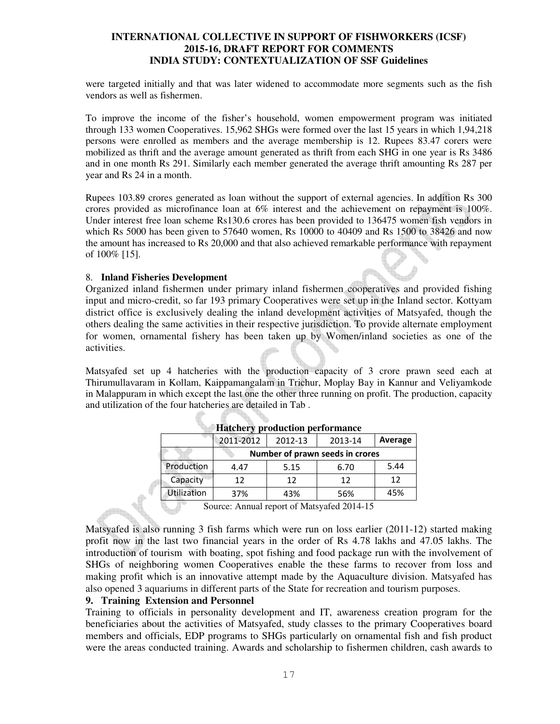were targeted initially and that was later widened to accommodate more segments such as the fish vendors as well as fishermen.

To improve the income of the fisher's household, women empowerment program was initiated through 133 women Cooperatives. 15,962 SHGs were formed over the last 15 years in which 1,94,218 persons were enrolled as members and the average membership is 12. Rupees 83.47 corers were mobilized as thrift and the average amount generated as thrift from each SHG in one year is Rs 3486 and in one month Rs 291. Similarly each member generated the average thrift amounting Rs 287 per year and Rs 24 in a month.

Rupees 103.89 crores generated as loan without the support of external agencies. In addition Rs 300 crores provided as microfinance loan at 6% interest and the achievement on repayment is 100%. Under interest free loan scheme Rs130.6 crores has been provided to 136475 women fish vendors in which Rs 5000 has been given to 57640 women, Rs 10000 to 40409 and Rs 1500 to 38426 and now the amount has increased to Rs 20,000 and that also achieved remarkable performance with repayment of 100% [15].

#### 8. **Inland Fisheries Development**

Organized inland fishermen under primary inland fishermen cooperatives and provided fishing input and micro-credit, so far 193 primary Cooperatives were set up in the Inland sector. Kottyam district office is exclusively dealing the inland development activities of Matsyafed, though the others dealing the same activities in their respective jurisdiction. To provide alternate employment for women, ornamental fishery has been taken up by Women/inland societies as one of the activities.

Matsyafed set up 4 hatcheries with the production capacity of 3 crore prawn seed each at Thirumullavaram in Kollam, Kaippamangalam in Trichur, Moplay Bay in Kannur and Veliyamkode in Malappuram in which except the last one the other three running on profit. The production, capacity and utilization of the four hatcheries are detailed in Tab .

| <br>proudenon performance |                                 |         |         |         |  |  |  |  |
|---------------------------|---------------------------------|---------|---------|---------|--|--|--|--|
|                           | 2011-2012                       | 2012-13 | 2013-14 | Average |  |  |  |  |
|                           | Number of prawn seeds in crores |         |         |         |  |  |  |  |
| Production                | 4.47                            | 5.15    | 6.70    | 5.44    |  |  |  |  |
| Capacity                  | 12                              | 12      | 12      | 12      |  |  |  |  |
| <b>Utilization</b>        | 37%                             | 43%     | 56%     | 45%     |  |  |  |  |

**Hatchery production performance** 

Source: Annual report of Matsyafed 2014-15

Matsyafed is also running 3 fish farms which were run on loss earlier (2011-12) started making profit now in the last two financial years in the order of Rs 4.78 lakhs and 47.05 lakhs. The introduction of tourism with boating, spot fishing and food package run with the involvement of SHGs of neighboring women Cooperatives enable the these farms to recover from loss and making profit which is an innovative attempt made by the Aquaculture division. Matsyafed has also opened 3 aquariums in different parts of the State for recreation and tourism purposes.

#### **9. Training Extension and Personnel**

Training to officials in personality development and IT, awareness creation program for the beneficiaries about the activities of Matsyafed, study classes to the primary Cooperatives board members and officials, EDP programs to SHGs particularly on ornamental fish and fish product were the areas conducted training. Awards and scholarship to fishermen children, cash awards to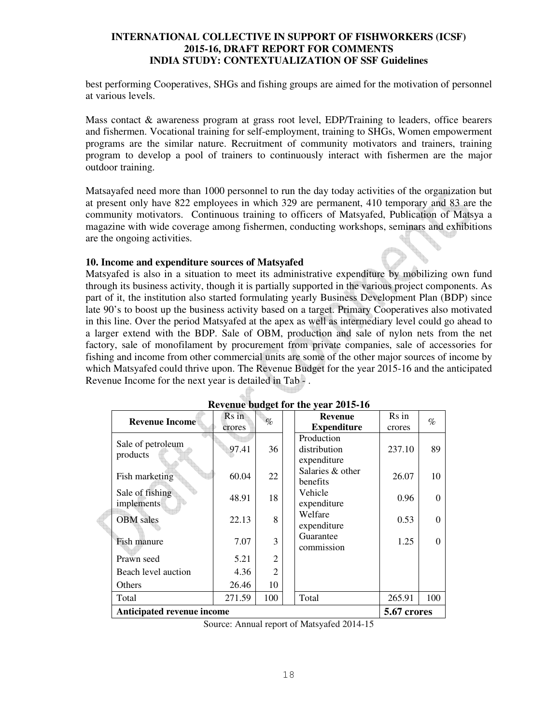best performing Cooperatives, SHGs and fishing groups are aimed for the motivation of personnel at various levels.

Mass contact & awareness program at grass root level, EDP/Training to leaders, office bearers and fishermen. Vocational training for self-employment, training to SHGs, Women empowerment programs are the similar nature. Recruitment of community motivators and trainers, training program to develop a pool of trainers to continuously interact with fishermen are the major outdoor training.

Matsayafed need more than 1000 personnel to run the day today activities of the organization but at present only have 822 employees in which 329 are permanent, 410 temporary and 83 are the community motivators. Continuous training to officers of Matsyafed, Publication of Matsya a magazine with wide coverage among fishermen, conducting workshops, seminars and exhibitions are the ongoing activities.

#### **10. Income and expenditure sources of Matsyafed**

Matsyafed is also in a situation to meet its administrative expenditure by mobilizing own fund through its business activity, though it is partially supported in the various project components. As part of it, the institution also started formulating yearly Business Development Plan (BDP) since late 90's to boost up the business activity based on a target. Primary Cooperatives also motivated in this line. Over the period Matsyafed at the apex as well as intermediary level could go ahead to a larger extend with the BDP. Sale of OBM, production and sale of nylon nets from the net factory, sale of monofilament by procurement from private companies, sale of accessories for fishing and income from other commercial units are some of the other major sources of income by which Matsyafed could thrive upon. The Revenue Budget for the year 2015-16 and the anticipated Revenue Income for the next year is detailed in Tab - .

| Revenue budget for the year 2013-10 |             |                |  |                                           |        |      |  |  |  |  |  |
|-------------------------------------|-------------|----------------|--|-------------------------------------------|--------|------|--|--|--|--|--|
| <b>Revenue Income</b>               | Rs in       | $\%$           |  | <b>Revenue</b>                            | Rs in  | $\%$ |  |  |  |  |  |
|                                     | crores      |                |  | <b>Expenditure</b>                        | crores |      |  |  |  |  |  |
| Sale of petroleum<br>products       | 97.41       | 36             |  | Production<br>distribution<br>expenditure | 237.10 | 89   |  |  |  |  |  |
| Fish marketing                      | 60.04       | 22             |  | Salaries & other<br>benefits              | 26.07  | 10   |  |  |  |  |  |
| Sale of fishing<br>implements       | 48.91       | 18             |  | Vehicle<br>expenditure                    | 0.96   | 0    |  |  |  |  |  |
| <b>OBM</b> sales                    | 22.13       | 8              |  | Welfare<br>expenditure                    | 0.53   | 0    |  |  |  |  |  |
| Fish manure                         | 7.07        | 3              |  | Guarantee<br>commission                   | 1.25   | 0    |  |  |  |  |  |
| Prawn seed                          | 5.21        | $\overline{2}$ |  |                                           |        |      |  |  |  |  |  |
| Beach level auction                 | 4.36        | $\overline{2}$ |  |                                           |        |      |  |  |  |  |  |
| Others                              | 26.46       | 10             |  |                                           |        |      |  |  |  |  |  |
| Total                               | 271.59      | 100            |  | Total                                     | 265.91 | 100  |  |  |  |  |  |
| Anticipated revenue income          | 5.67 crores |                |  |                                           |        |      |  |  |  |  |  |

# **Revenue budget for the year 2015-16**

Source: Annual report of Matsyafed 2014-15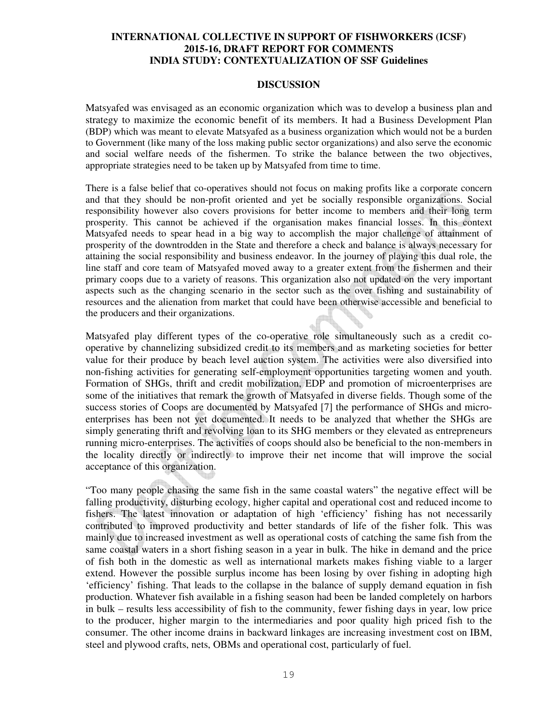#### **DISCUSSION**

Matsyafed was envisaged as an economic organization which was to develop a business plan and strategy to maximize the economic benefit of its members. It had a Business Development Plan (BDP) which was meant to elevate Matsyafed as a business organization which would not be a burden to Government (like many of the loss making public sector organizations) and also serve the economic and social welfare needs of the fishermen. To strike the balance between the two objectives, appropriate strategies need to be taken up by Matsyafed from time to time.

There is a false belief that co-operatives should not focus on making profits like a corporate concern and that they should be non-profit oriented and yet be socially responsible organizations. Social responsibility however also covers provisions for better income to members and their long term prosperity. This cannot be achieved if the organisation makes financial losses. In this context Matsyafed needs to spear head in a big way to accomplish the major challenge of attainment of prosperity of the downtrodden in the State and therefore a check and balance is always necessary for attaining the social responsibility and business endeavor. In the journey of playing this dual role, the line staff and core team of Matsyafed moved away to a greater extent from the fishermen and their primary coops due to a variety of reasons. This organization also not updated on the very important aspects such as the changing scenario in the sector such as the over fishing and sustainability of resources and the alienation from market that could have been otherwise accessible and beneficial to the producers and their organizations.

Matsyafed play different types of the co-operative role simultaneously such as a credit cooperative by channelizing subsidized credit to its members and as marketing societies for better value for their produce by beach level auction system. The activities were also diversified into non-fishing activities for generating self-employment opportunities targeting women and youth. Formation of SHGs, thrift and credit mobilization, EDP and promotion of microenterprises are some of the initiatives that remark the growth of Matsyafed in diverse fields. Though some of the success stories of Coops are documented by Matsyafed [7] the performance of SHGs and microenterprises has been not yet documented. It needs to be analyzed that whether the SHGs are simply generating thrift and revolving loan to its SHG members or they elevated as entrepreneurs running micro-enterprises. The activities of coops should also be beneficial to the non-members in the locality directly or indirectly to improve their net income that will improve the social acceptance of this organization.

"Too many people chasing the same fish in the same coastal waters" the negative effect will be falling productivity, disturbing ecology, higher capital and operational cost and reduced income to fishers. The latest innovation or adaptation of high 'efficiency' fishing has not necessarily contributed to improved productivity and better standards of life of the fisher folk. This was mainly due to increased investment as well as operational costs of catching the same fish from the same coastal waters in a short fishing season in a year in bulk. The hike in demand and the price of fish both in the domestic as well as international markets makes fishing viable to a larger extend. However the possible surplus income has been losing by over fishing in adopting high 'efficiency' fishing. That leads to the collapse in the balance of supply demand equation in fish production. Whatever fish available in a fishing season had been be landed completely on harbors in bulk – results less accessibility of fish to the community, fewer fishing days in year, low price to the producer, higher margin to the intermediaries and poor quality high priced fish to the consumer. The other income drains in backward linkages are increasing investment cost on IBM, steel and plywood crafts, nets, OBMs and operational cost, particularly of fuel.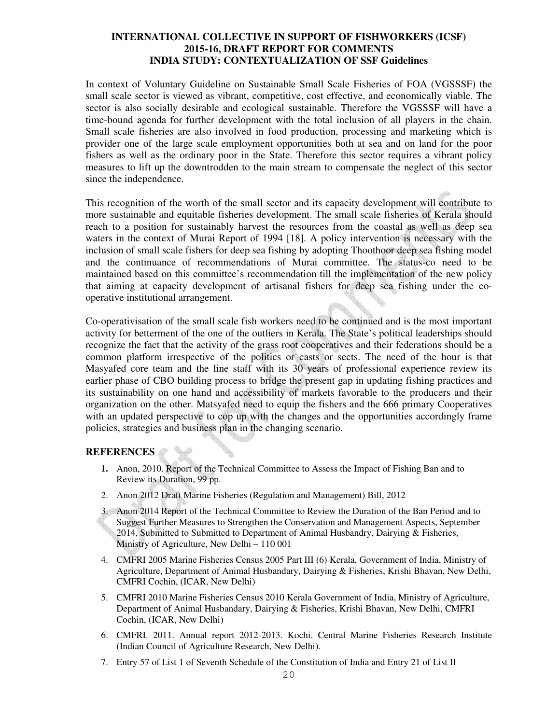In context of Voluntary Guideline on Sustainable Small Scale Fisheries of FOA (VGSSSF) the small scale sector is viewed as vibrant, competitive, cost effective, and economically viable. The sector is also socially desirable and ecological sustainable. Therefore the VGSSSF will have a time-bound agenda for further development with the total inclusion of all players in the chain. Small scale fisheries are also involved in food production, processing and marketing which is provider one of the large scale employment opportunities both at sea and on land for the poor fishers as well as the ordinary poor in the State. Therefore this sector requires a vibrant policy measures to lift up the downtrodden to the main stream to compensate the neglect of this sector since the independence.

This recognition of the worth of the small sector and its capacity development will contribute to more sustainable and equitable fisheries development. The small scale fisheries of Kerala should reach to a position for sustainably harvest the resources from the coastal as well as deep sea waters in the context of Murai Report of 1994 [18]. A policy intervention is necessary with the inclusion of small scale fishers for deep sea fishing by adopting Thoothoor deep sea fishing model and the continuance of recommendations of Murai committee. The status-co need to be maintained based on this committee's recommendation till the implementation of the new policy that aiming at capacity development of artisanal fishers for deep sea fishing under the cooperative institutional arrangement.

Co-operativisation of the small scale fish workers need to be continued and is the most important activity for betterment of the one of the outliers in Kerala. The State's political leaderships should recognize the fact that the activity of the grass root cooperatives and their federations should be a common platform irrespective of the politics or casts or sects. The need of the hour is that Masyafed core team and the line staff with its 30 years of professional experience review its earlier phase of CBO building process to bridge the present gap in updating fishing practices and its sustainability on one hand and accessibility of markets favorable to the producers and their organization on the other. Matsyafed need to equip the fishers and the 666 primary Cooperatives with an updated perspective to cop up with the changes and the opportunities accordingly frame policies, strategies and business plan in the changing scenario.

## **REFERENCES**

- **1.** Anon, 2010. Report of the Technical Committee to Assess the Impact of Fishing Ban and to Review its Duration, 99 pp.
- 2. Anon 2012 Draft Marine Fisheries (Regulation and Management) Bill, 2012
- 3. Anon 2014 Report of the Technical Committee to Review the Duration of the Ban Period and to Suggest Further Measures to Strengthen the Conservation and Management Aspects, September 2014, Submitted to Submitted to Department of Animal Husbandry, Dairying & Fisheries, Ministry of Agriculture, New Delhi – 110 001
- 4. CMFRI 2005 Marine Fisheries Census 2005 Part III (6) Kerala, Government of India, Ministry of Agriculture, Department of Animal Husbandary, Dairying & Fisheries, Krishi Bhavan, New Delhi, CMFRI Cochin, (ICAR, New Delhi)
- 5. CMFRI 2010 Marine Fisheries Census 2010 Kerala Government of India, Ministry of Agriculture, Department of Animal Husbandary, Dairying & Fisheries, Krishi Bhavan, New Delhi, CMFRI Cochin, (ICAR, New Delhi)
- 6. CMFRI. 2011. Annual report 2012-2013. Kochi. Central Marine Fisheries Research Institute (Indian Council of Agriculture Research, New Delhi).
- 7. Entry 57 of List 1 of Seventh Schedule of the Constitution of India and Entry 21 of List II